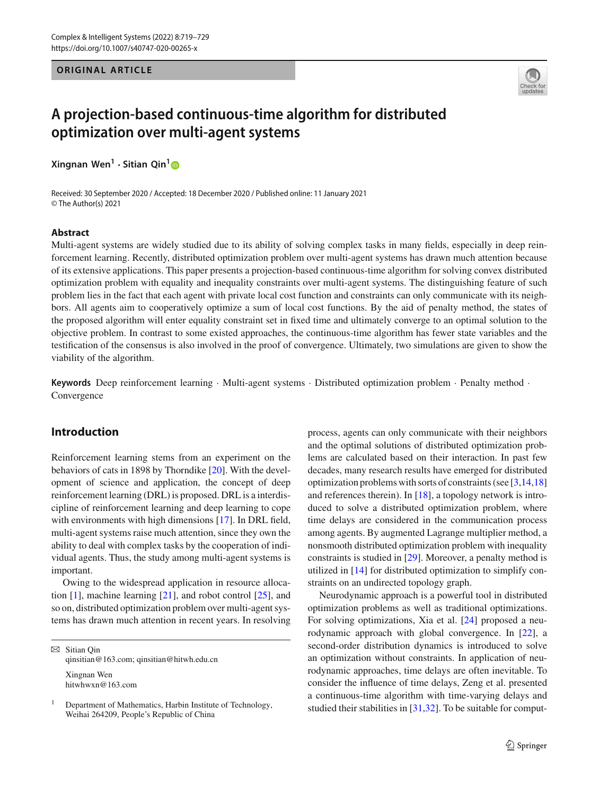# **ORIGINAL ARTICLE**



# **A projection-based continuous-time algorithm for distributed optimization over multi-agent systems**

**Xingnan Wen<sup>1</sup> · Sitian Qin[1](http://orcid.org/0000-0002-4543-4940)**

Received: 30 September 2020 / Accepted: 18 December 2020 / Published online: 11 January 2021 © The Author(s) 2021

#### **Abstract**

Multi-agent systems are widely studied due to its ability of solving complex tasks in many fields, especially in deep reinforcement learning. Recently, distributed optimization problem over multi-agent systems has drawn much attention because of its extensive applications. This paper presents a projection-based continuous-time algorithm for solving convex distributed optimization problem with equality and inequality constraints over multi-agent systems. The distinguishing feature of such problem lies in the fact that each agent with private local cost function and constraints can only communicate with its neighbors. All agents aim to cooperatively optimize a sum of local cost functions. By the aid of penalty method, the states of the proposed algorithm will enter equality constraint set in fixed time and ultimately converge to an optimal solution to the objective problem. In contrast to some existed approaches, the continuous-time algorithm has fewer state variables and the testification of the consensus is also involved in the proof of convergence. Ultimately, two simulations are given to show the viability of the algorithm.

**Keywords** Deep reinforcement learning · Multi-agent systems · Distributed optimization problem · Penalty method · Convergence

## **Introduction**

Reinforcement learning stems from an experiment on the behaviors of cats in 1898 by Thorndike [\[20\]](#page-10-0). With the development of science and application, the concept of deep reinforcement learning (DRL) is proposed. DRL is a interdiscipline of reinforcement learning and deep learning to cope with environments with high dimensions [\[17](#page-10-1)]. In DRL field, multi-agent systems raise much attention, since they own the ability to deal with complex tasks by the cooperation of individual agents. Thus, the study among multi-agent systems is important.

Owing to the widespread application in resource allocation [\[1\]](#page-10-2), machine learning [\[21\]](#page-10-3), and robot control [\[25](#page-10-4)], and so on, distributed optimization problem over multi-agent systems has drawn much attention in recent years. In resolving

 $\boxtimes$  Sitian Oin qinsitian@163.com; qinsitian@hitwh.edu.cn

Xingnan Wen hitwhwxn@163.com process, agents can only communicate with their neighbors and the optimal solutions of distributed optimization problems are calculated based on their interaction. In past few decades, many research results have emerged for distributed optimization problems with sorts of constraints (see [\[3](#page-10-5)[,14](#page-10-6)[,18\]](#page-10-7) and references therein). In [\[18\]](#page-10-7), a topology network is introduced to solve a distributed optimization problem, where time delays are considered in the communication process among agents. By augmented Lagrange multiplier method, a nonsmooth distributed optimization problem with inequality constraints is studied in [\[29](#page-10-8)]. Moreover, a penalty method is utilized in [\[14](#page-10-6)] for distributed optimization to simplify constraints on an undirected topology graph.

Neurodynamic approach is a powerful tool in distributed optimization problems as well as traditional optimizations. For solving optimizations, Xia et al. [\[24\]](#page-10-9) proposed a neurodynamic approach with global convergence. In [\[22](#page-10-10)], a second-order distribution dynamics is introduced to solve an optimization without constraints. In application of neurodynamic approaches, time delays are often inevitable. To consider the influence of time delays, Zeng et al. presented a continuous-time algorithm with time-varying delays and studied their stabilities in [\[31](#page-10-11)[,32\]](#page-10-12). To be suitable for comput-

<sup>1</sup> Department of Mathematics, Harbin Institute of Technology, Weihai 264209, People's Republic of China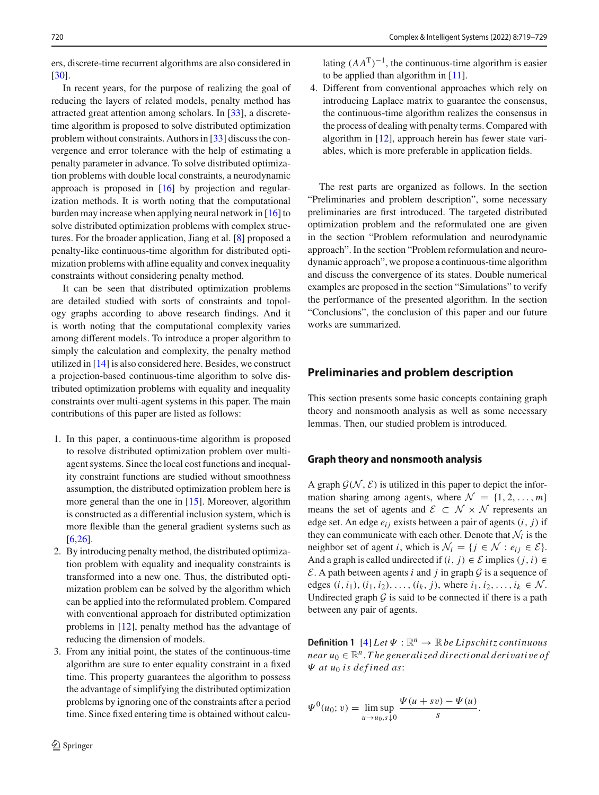ers, discrete-time recurrent algorithms are also considered in [\[30](#page-10-13)].

In recent years, for the purpose of realizing the goal of reducing the layers of related models, penalty method has attracted great attention among scholars. In [\[33](#page-10-14)], a discretetime algorithm is proposed to solve distributed optimization problem without constraints. Authors in [\[33](#page-10-14)] discuss the convergence and error tolerance with the help of estimating a penalty parameter in advance. To solve distributed optimization problems with double local constraints, a neurodynamic approach is proposed in [\[16\]](#page-10-15) by projection and regularization methods. It is worth noting that the computational burden may increase when applying neural network in [\[16](#page-10-15)] to solve distributed optimization problems with complex structures. For the broader application, Jiang et al. [\[8](#page-10-16)] proposed a penalty-like continuous-time algorithm for distributed optimization problems with affine equality and convex inequality constraints without considering penalty method.

It can be seen that distributed optimization problems are detailed studied with sorts of constraints and topology graphs according to above research findings. And it is worth noting that the computational complexity varies among different models. To introduce a proper algorithm to simply the calculation and complexity, the penalty method utilized in [\[14\]](#page-10-6) is also considered here. Besides, we construct a projection-based continuous-time algorithm to solve distributed optimization problems with equality and inequality constraints over multi-agent systems in this paper. The main contributions of this paper are listed as follows:

- 1. In this paper, a continuous-time algorithm is proposed to resolve distributed optimization problem over multiagent systems. Since the local cost functions and inequality constraint functions are studied without smoothness assumption, the distributed optimization problem here is more general than the one in [\[15\]](#page-10-17). Moreover, algorithm is constructed as a differential inclusion system, which is more flexible than the general gradient systems such as [\[6](#page-10-18)[,26\]](#page-10-19).
- 2. By introducing penalty method, the distributed optimization problem with equality and inequality constraints is transformed into a new one. Thus, the distributed optimization problem can be solved by the algorithm which can be applied into the reformulated problem. Compared with conventional approach for distributed optimization problems in [\[12\]](#page-10-20), penalty method has the advantage of reducing the dimension of models.
- 3. From any initial point, the states of the continuous-time algorithm are sure to enter equality constraint in a fixed time. This property guarantees the algorithm to possess the advantage of simplifying the distributed optimization problems by ignoring one of the constraints after a period time. Since fixed entering time is obtained without calcu-

lating  $(AA^{T})^{-1}$ , the continuous-time algorithm is easier to be applied than algorithm in [\[11](#page-10-21)].

4. Different from conventional approaches which rely on introducing Laplace matrix to guarantee the consensus, the continuous-time algorithm realizes the consensus in the process of dealing with penalty terms. Compared with algorithm in [\[12\]](#page-10-20), approach herein has fewer state variables, which is more preferable in application fields.

The rest parts are organized as follows. In the section "Preliminaries and problem description", some necessary preliminaries are first introduced. The targeted distributed optimization problem and the reformulated one are given in the section "Problem reformulation and neurodynamic approach". In the section "Problem reformulation and neurodynamic approach", we propose a continuous-time algorithm and discuss the convergence of its states. Double numerical examples are proposed in the section "Simulations" to verify the performance of the presented algorithm. In the section "Conclusions", the conclusion of this paper and our future works are summarized.

## **Preliminaries and problem description**

This section presents some basic concepts containing graph theory and nonsmooth analysis as well as some necessary lemmas. Then, our studied problem is introduced.

## **Graph theory and nonsmooth analysis**

A graph  $\mathcal{G}(\mathcal{N}, \mathcal{E})$  is utilized in this paper to depict the information sharing among agents, where  $\mathcal{N} = \{1, 2, ..., m\}$ means the set of agents and  $\mathcal{E} \subset \mathcal{N} \times \mathcal{N}$  represents an edge set. An edge  $e_{ij}$  exists between a pair of agents  $(i, j)$  if they can communicate with each other. Denote that  $\mathcal{N}_i$  is the neighbor set of agent *i*, which is  $\mathcal{N}_i = \{j \in \mathcal{N} : e_{ij} \in \mathcal{E}\}.$ And a graph is called undirected if  $(i, j) \in \mathcal{E}$  implies  $(j, i) \in$  $\mathcal{E}$ . A path between agents *i* and *j* in graph  $\mathcal{G}$  is a sequence of edges  $(i, i_1), (i_1, i_2), \ldots, (i_k, j)$ , where  $i_1, i_2, \ldots, i_k \in \mathcal{N}$ . Undirected graph  $G$  is said to be connected if there is a path between any pair of agents.

**Definition 1**  $[4] Let \Psi : \mathbb{R}^n \to \mathbb{R}$  $[4] Let \Psi : \mathbb{R}^n \to \mathbb{R}$  *be Lipschitz continuous near*  $u_0 \in \mathbb{R}^n$ . *The generalized directional derivative of* Ψ *at u*<sup>0</sup> *is def ined as*:

$$
\Psi^{0}(u_{0}; v) = \lim_{u \to u_{0}, s \downarrow 0} \frac{\Psi(u + sv) - \Psi(u)}{s}.
$$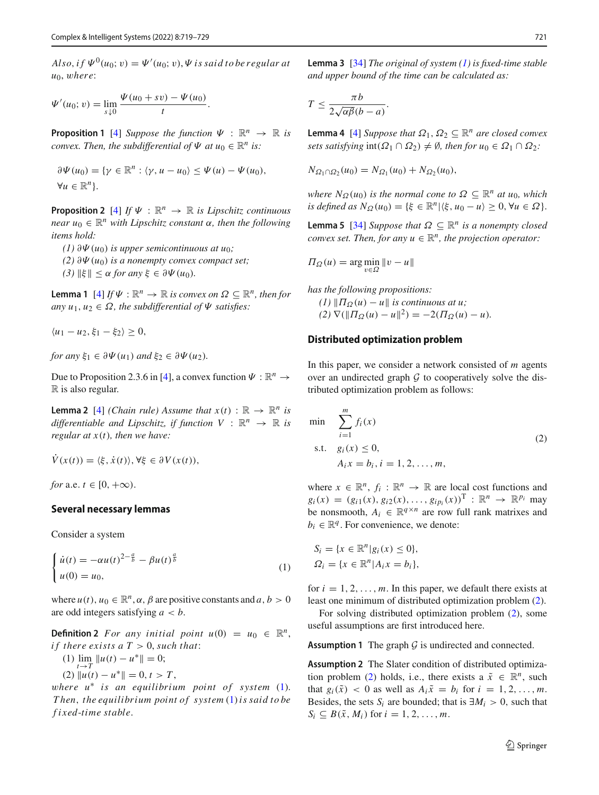$Also, if \Psi^0(u_0; v) = \Psi'(u_0; v), \Psi$  *is said to be regular at u*0, w*here*:

$$
\Psi'(u_0; v) = \lim_{s \downarrow 0} \frac{\Psi(u_0 + sv) - \Psi(u_0)}{t}.
$$

<span id="page-2-4"></span>**Proposition 1** [\[4\]](#page-10-22) *Suppose the function*  $\Psi : \mathbb{R}^n \to \mathbb{R}$  *is convex. Then, the subdifferential of*  $\Psi$  *at*  $u_0 \in \mathbb{R}^n$  *is:* 

$$
\partial \Psi(u_0) = \{ \gamma \in \mathbb{R}^n : \langle \gamma, u - u_0 \rangle \le \Psi(u) - \Psi(u_0),
$$
  

$$
\forall u \in \mathbb{R}^n \}.
$$

**Proposition 2** [\[4\]](#page-10-22) *If*  $\Psi$  :  $\mathbb{R}^n \to \mathbb{R}$  *is Lipschitz continuous near*  $u_0 \in \mathbb{R}^n$  *with Lipschitz constant*  $\alpha$ *, then the following items hold:*

- *(1)* ∂Ψ(*u*0) *is upper semicontinuous at u*0*;*
- *(2)*  $\partial \Psi(u_0)$  *is a nonempty convex compact set;*
- *(3)*  $\|\xi\| \le \alpha$  *for any*  $\xi \in \partial \Psi(u_0)$ *.*

<span id="page-2-7"></span>**Lemma 1** [\[4\]](#page-10-22) *If*  $\Psi$  :  $\mathbb{R}^n \to \mathbb{R}$  *is convex on*  $\Omega \subseteq \mathbb{R}^n$ *, then for any*  $u_1, u_2 \in \Omega$ , the subdifferential of  $\Psi$  satisfies:

 $\langle u_1 - u_2, \xi_1 - \xi_2 \rangle \geq 0,$ 

*for any*  $\xi_1 \in \partial \Psi(u_1)$  *and*  $\xi_2 \in \partial \Psi(u_2)$ *.* 

Due to Proposition 2.3.6 in [\[4](#page-10-22)], a convex function  $\Psi : \mathbb{R}^n \to$  $\mathbb R$  is also regular.

**Lemma 2** [\[4\]](#page-10-22) *(Chain rule)* Assume that  $x(t) : \mathbb{R} \to \mathbb{R}^n$  is *differentiable and Lipschitz, if function*  $V : \mathbb{R}^n \to \mathbb{R}$  is *regular at x*(*t*)*, then we have:*

$$
\dot{V}(x(t)) = \langle \xi, \dot{x}(t) \rangle, \forall \xi \in \partial V(x(t)),
$$

*for* a.e.  $t \in [0, +\infty)$ .

## **Several necessary lemmas**

<span id="page-2-0"></span>Consider a system

$$
\begin{cases} \n\dot{u}(t) = -\alpha u(t)^{2 - \frac{a}{b}} - \beta u(t)^{\frac{a}{b}} \\
u(0) = u_0,\n\end{cases} \tag{1}
$$

where  $u(t)$ ,  $u_0 \in \mathbb{R}^n$ ,  $\alpha$ ,  $\beta$  are positive constants and  $a, b > 0$ are odd integers satisfying *a* < *b*.

**Definition 2** *For any initial point*  $u(0) = u_0 \in \mathbb{R}^n$ , *if there exists a*  $T > 0$ , *such that*:

- (1)  $\lim_{t \to T} \|u(t) u^*\| = 0;$
- $(2)$   $\|u(t) u^*\| = 0, t > T$ ,

<span id="page-2-6"></span>w*here u*∗ *is an equilibrium point of system* [\(1\)](#page-2-0). *T hen*, *the equilibrium point of system* [\(1\)](#page-2-0)*is said to be f ixed*-*time stable*.

**Lemma 3** [\[34](#page-10-23)] *The original of system [\(1\)](#page-2-0) is fixed-time stable and upper bound of the time can be calculated as:*

$$
T \leq \frac{\pi b}{2\sqrt{\alpha\beta}(b-a)}.
$$

<span id="page-2-3"></span>**Lemma 4** [\[4](#page-10-22)] *Suppose that*  $\Omega_1, \Omega_2 \subseteq \mathbb{R}^n$  *are closed convex sets satisfying*  $int(\Omega_1 \cap \Omega_2) \neq \emptyset$ *, then for*  $u_0 \in \Omega_1 \cap \Omega_2$ *:* 

$$
N_{\Omega_1 \cap \Omega_2}(u_0) = N_{\Omega_1}(u_0) + N_{\Omega_2}(u_0),
$$

*where*  $N_{\Omega}(u_0)$  *is the normal cone to*  $\Omega \subseteq \mathbb{R}^n$  *at*  $u_0$ *, which is defined as*  $N_{\Omega}(u_0) = {\xi \in \mathbb{R}^n | \langle \xi, u_0 - u \rangle \geq 0, \forall u \in \Omega}.$ 

<span id="page-2-5"></span>**Lemma 5** [\[34](#page-10-23)] *Suppose that*  $\Omega \subseteq \mathbb{R}^n$  *is a nonempty closed convex set. Then, for any*  $u \in \mathbb{R}^n$ *, the projection operator:* 

$$
\Pi_{\Omega}(u) = \arg\min_{v \in \Omega} \|v - u\|
$$

*has the following propositions:*  $(1)$   $|| \Pi_{\Omega}(u) - u ||$  *is continuous at u*;  $(2)$   $\nabla$ ( $||\Pi_{\Omega}(u) - u||^2$ ) = -2( $\Pi_{\Omega}(u) - u$ ).

## **Distributed optimization problem**

In this paper, we consider a network consisted of *m* agents over an undirected graph  $G$  to cooperatively solve the distributed optimization problem as follows:

<span id="page-2-1"></span>min 
$$
\sum_{i=1}^{m} f_i(x)
$$
  
s.t.  $g_i(x) \le 0$ ,  
 $A_i x = b_i, i = 1, 2, ..., m$ , (2)

where  $x \in \mathbb{R}^n$ ,  $f_i : \mathbb{R}^n \to \mathbb{R}$  are local cost functions and  $g_i(x) = (g_{i1}(x), g_{i2}(x), \ldots, g_{ip_i}(x))^T : \mathbb{R}^n \to \mathbb{R}^{p_i}$  may be nonsmooth,  $A_i \in \mathbb{R}^{q \times n}$  are row full rank matrixes and  $b_i \in \mathbb{R}^q$ . For convenience, we denote:

$$
S_i = \{x \in \mathbb{R}^n | g_i(x) \le 0\},\
$$
  

$$
\Omega_i = \{x \in \mathbb{R}^n | A_i x = b_i\},\
$$

for  $i = 1, 2, \ldots, m$ . In this paper, we default there exists at least one minimum of distributed optimization problem [\(2\)](#page-2-1).

For solving distributed optimization problem [\(2\)](#page-2-1), some useful assumptions are first introduced here.

<span id="page-2-2"></span>**Assumption 1** The graph *G* is undirected and connected.

**Assumption 2** The Slater condition of distributed optimiza-tion problem [\(2\)](#page-2-1) holds, i.e., there exists a  $\tilde{x} \in \mathbb{R}^n$ , such that  $g_i(\tilde{x}) < 0$  as well as  $A_i \tilde{x} = b_i$  for  $i = 1, 2, ..., m$ . Besides, the sets  $S_i$  are bounded; that is  $\exists M_i > 0$ , such that  $S_i \subseteq B(\tilde{x}, M_i)$  for  $i = 1, 2, \ldots, m$ .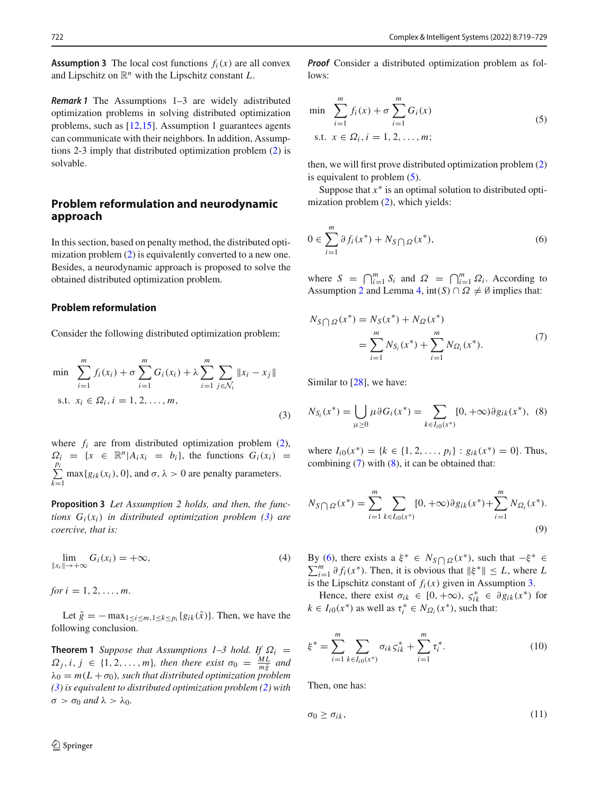<span id="page-3-5"></span>**Assumption 3** The local cost functions  $f_i(x)$  are all convex and Lipschitz on R*<sup>n</sup>* with the Lipschitz constant *L*.

*Remark 1* The Assumptions 1–3 are widely adistributed optimization problems in solving distributed optimization problems, such as [\[12](#page-10-20)[,15](#page-10-17)]. Assumption 1 guarantees agents can communicate with their neighbors. In addition, Assumptions 2-3 imply that distributed optimization problem [\(2\)](#page-2-1) is solvable.

## **Problem reformulation and neurodynamic approach**

In this section, based on penalty method, the distributed opti-mization problem [\(2\)](#page-2-1) is equivalently converted to a new one. Besides, a neurodynamic approach is proposed to solve the obtained distributed optimization problem.

#### **Problem reformulation**

Consider the following distributed optimization problem:

$$
\min \sum_{i=1}^{m} f_i(x_i) + \sigma \sum_{i=1}^{m} G_i(x_i) + \lambda \sum_{i=1}^{m} \sum_{j \in \mathcal{N}_i} ||x_i - x_j||
$$
\n
$$
\text{s.t. } x_i \in \Omega_i, i = 1, 2, ..., m,
$$
\n(3)

where  $f_i$  are from distributed optimization problem  $(2)$ ,  $\Omega_i = \{x \in \mathbb{R}^n | A_i x_i = b_i\}$ , the functions  $G_i(x_i) =$ Σ *pi k*=1  $max{g_{ik}(x_i), 0}$ , and  $\sigma, \lambda > 0$  are penalty parameters.

**Proposition 3** *Let Assumption 2 holds, and then, the functions Gi*(*xi*) *in distributed optimization problem [\(3\)](#page-3-0) are coercive, that is:*

$$
\lim_{\|x_i\| \to +\infty} G_i(x_i) = +\infty,\tag{4}
$$

*for*  $i = 1, 2, ..., m$ .

<span id="page-3-7"></span>Let  $\tilde{g}$  =  $-\max_{1 \leq i \leq m, 1 \leq k \leq p_i} \{g_{ik}(\tilde{x})\}$ . Then, we have the following conclusion.

**Theorem 1** *Suppose that Assumptions 1–3 hold. If*  $\Omega_i$  =  $\Omega_j$ *, i, j* ∈ {1*,* 2*,..., m*}*, then there exist*  $\sigma_0 = \frac{ML}{m\tilde{g}}$  *and*  $\lambda_0 = m(L + \sigma_0)$ , such that distributed optimization problem *[\(3\)](#page-3-0) is equivalent to distributed optimization problem [\(2\)](#page-2-1) with*  $\sigma > \sigma_0$  *and*  $\lambda > \lambda_0$ *.* 

<span id="page-3-1"></span>*Proof* Consider a distributed optimization problem as follows:

$$
\min \sum_{i=1}^{m} f_i(x) + \sigma \sum_{i=1}^{m} G_i(x)
$$
  
s.t.  $x \in \Omega_i, i = 1, 2, ..., m;$  (5)

then, we will first prove distributed optimization problem [\(2\)](#page-2-1) is equivalent to problem [\(5\)](#page-3-1).

<span id="page-3-4"></span>Suppose that  $x^*$  is an optimal solution to distributed optimization problem [\(2\)](#page-2-1), which yields:

$$
0 \in \sum_{i=1}^{m} \partial f_i(x^*) + N_S \cap \Omega(x^*), \tag{6}
$$

where  $S = \bigcap_{i=1}^{m} S_i$  and  $\Omega = \bigcap_{i=1}^{m} \Omega_i$ . According to Assumption [2](#page-2-2) and Lemma [4,](#page-2-3)  $int(S) \cap \Omega \neq \emptyset$  implies that:

<span id="page-3-2"></span><span id="page-3-0"></span>
$$
N_S \cap \Omega(x^*) = N_S(x^*) + N_{\Omega}(x^*)
$$
  
= 
$$
\sum_{i=1}^{m} N_{S_i}(x^*) + \sum_{i=1}^{m} N_{\Omega_i}(x^*).
$$
 (7)

<span id="page-3-3"></span>Similar to [\[28\]](#page-10-24), we have:

$$
N_{S_i}(x^*) = \bigcup_{\mu \ge 0} \mu \partial G_i(x^*) = \sum_{k \in I_{i0}(x^*)} [0, +\infty) \partial g_{ik}(x^*), \tag{8}
$$

where  $I_{i0}(x^*) = \{k \in \{1, 2, ..., p_i\} : g_{ik}(x^*) = 0\}$ . Thus, combining  $(7)$  with  $(8)$ , it can be obtained that:

$$
N_{S \bigcap \Omega}(x^*) = \sum_{i=1}^m \sum_{k \in I_{i0}(x^*)} [0, +\infty) \partial g_{ik}(x^*) + \sum_{i=1}^m N_{\Omega_i}(x^*).
$$
\n(9)

By [\(6\)](#page-3-4), there exists a  $\xi^* \in N_S \cap \Omega(x^*)$ , such that  $-\xi^* \in \sum_{m=1}^{\infty} \mathcal{L}(x^*)$ . Then it is obvious that  $||\xi^*|| \leq I$ , where I  $\sum_{i=1}^{m} \partial f_i(x^*)$ . Then, it is obvious that  $\|\xi^*\| \leq L$ , where *L* is the Lipschitz constant of  $f_i(x)$  given in Assumption [3.](#page-3-5)

Hence, there exist  $\sigma_{ik} \in [0, +\infty)$ ,  $\zeta_{ik}^* \in \partial g_{ik}(x^*)$  for  $k \in I_{i0}(x^*)$  as well as  $\tau_i^* \in N_{\Omega_i}(x^*)$ , such that:

$$
\xi^* = \sum_{i=1}^m \sum_{k \in I_{i0}(x^*)} \sigma_{ik} \varsigma_{ik}^* + \sum_{i=1}^m \tau_i^*.
$$
 (10)

<span id="page-3-6"></span>Then, one has:

$$
\sigma_0 \ge \sigma_{ik},\tag{11}
$$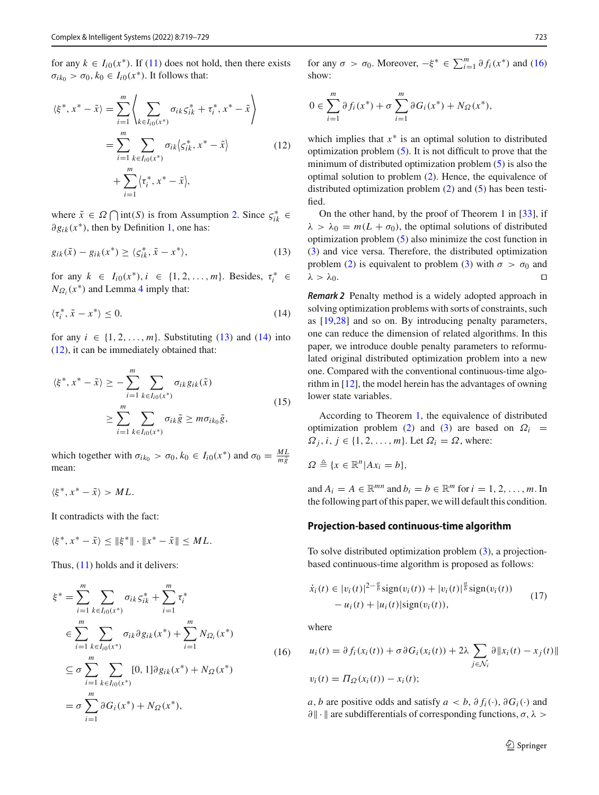for any  $k \in I_{i0}(x^*)$ . If [\(11\)](#page-3-6) does not hold, then there exists  $\sigma_{ik_0} > \sigma_0, k_0 \in I_{i0}(x^*)$ . It follows that:

$$
\langle \xi^*, x^* - \tilde{x} \rangle = \sum_{i=1}^m \left\langle \sum_{k \in I_{i0}(x^*)} \sigma_{ik} \zeta_{ik}^* + \tau_i^*, x^* - \tilde{x} \right\rangle
$$
  
= 
$$
\sum_{i=1}^m \sum_{k \in I_{i0}(x^*)} \sigma_{ik} \langle \zeta_{ik}^*, x^* - \tilde{x} \rangle
$$
  
+ 
$$
\sum_{i=1}^m \langle \tau_i^*, x^* - \tilde{x} \rangle,
$$
 (12)

where  $\tilde{x} \in \Omega \cap \text{int}(S)$  is from Assumption [2.](#page-2-2) Since  $\zeta_{ik}^* \in$  $∂g<sub>ik</sub>(x<sup>*</sup>)$ , then by Definition [1,](#page-2-4) one has:

$$
g_{ik}(\tilde{x}) - g_{ik}(x^*) \ge \langle \zeta_{ik}^*, \tilde{x} - x^* \rangle, \tag{13}
$$

for any  $k \in I_{i0}(x^*), i \in \{1, 2, ..., m\}$ . Besides,  $\tau_i^* \in$  $N_{\Omega_i}(x^*)$  and Lemma [4](#page-2-3) imply that:

$$
\langle \tau_i^*, \tilde{x} - x^* \rangle \le 0. \tag{14}
$$

for any  $i \in \{1, 2, \ldots, m\}$ . Substituting [\(13\)](#page-4-0) and [\(14\)](#page-4-1) into [\(12\)](#page-4-2), it can be immediately obtained that:

$$
\langle \xi^*, x^* - \tilde{x} \rangle \ge - \sum_{i=1}^m \sum_{k \in I_{i0}(x^*)} \sigma_{ik} g_{ik}(\tilde{x})
$$
  
 
$$
\ge \sum_{i=1}^m \sum_{k \in I_{i0}(x^*)} \sigma_{ik} \tilde{g} \ge m \sigma_{ik_0} \tilde{g}, \qquad (15)
$$

which together with  $\sigma_{ik_0} > \sigma_0$ ,  $k_0 \in I_{i0}(x^*)$  and  $\sigma_0 = \frac{ML}{m\tilde{g}}$ mean:

$$
\langle \xi^*, x^* - \tilde{x} \rangle > ML.
$$

It contradicts with the fact:

$$
\langle \xi^*, x^* - \tilde{x} \rangle \le \|\xi^*\| \cdot \|x^* - \tilde{x}\| \le ML.
$$

Thus, [\(11\)](#page-3-6) holds and it delivers:

$$
\xi^* = \sum_{i=1}^m \sum_{k \in I_{i0}(x^*)} \sigma_{ik} \zeta_{ik}^* + \sum_{i=1}^m \tau_i^*
$$
  
\n
$$
\in \sum_{i=1}^m \sum_{k \in I_{i0}(x^*)} \sigma_{ik} \partial g_{ik}(x^*) + \sum_{i=1}^m N_{\Omega_i}(x^*)
$$
  
\n
$$
\subseteq \sigma \sum_{i=1}^m \sum_{k \in I_{i0}(x^*)} [0, 1] \partial g_{ik}(x^*) + N_{\Omega}(x^*)
$$
  
\n
$$
= \sigma \sum_{i=1}^m \partial G_i(x^*) + N_{\Omega}(x^*),
$$
\n(16)

<span id="page-4-2"></span>for any  $\sigma > \sigma_0$ . Moreover,  $-\xi^* \in \sum_{i=1}^m \partial f_i(x^*)$  and [\(16\)](#page-4-3) show:

$$
0 \in \sum_{i=1}^{m} \partial f_i(x^*) + \sigma \sum_{i=1}^{m} \partial G_i(x^*) + N_{\Omega}(x^*),
$$

which implies that *x*∗ is an optimal solution to distributed optimization problem [\(5\)](#page-3-1). It is not difficult to prove that the minimum of distributed optimization problem [\(5\)](#page-3-1) is also the optimal solution to problem [\(2\)](#page-2-1). Hence, the equivalence of distributed optimization problem [\(2\)](#page-2-1) and [\(5\)](#page-3-1) has been testified.

<span id="page-4-0"></span>On the other hand, by the proof of Theorem 1 in [\[33\]](#page-10-14), if  $\lambda > \lambda_0 = m(L + \sigma_0)$ , the optimal solutions of distributed optimization problem [\(5\)](#page-3-1) also minimize the cost function in [\(3\)](#page-3-0) and vice versa. Therefore, the distributed optimization problem [\(2\)](#page-2-1) is equivalent to problem [\(3\)](#page-3-0) with  $\sigma > \sigma_0$  and  $\lambda > \lambda_0$ .

<span id="page-4-1"></span>*Remark 2* Penalty method is a widely adopted approach in solving optimization problems with sorts of constraints, such as [\[19](#page-10-25)[,28](#page-10-24)] and so on. By introducing penalty parameters, one can reduce the dimension of related algorithms. In this paper, we introduce double penalty parameters to reformulated original distributed optimization problem into a new one. Compared with the conventional continuous-time algorithm in [\[12\]](#page-10-20), the model herein has the advantages of owning lower state variables.

According to Theorem [1,](#page-3-7) the equivalence of distributed optimization problem [\(2\)](#page-2-1) and [\(3\)](#page-3-0) are based on  $\Omega_i$  =  $\Omega_i$ ,  $i, j \in \{1, 2, \ldots, m\}$ . Let  $\Omega_i = \Omega$ , where:

 $\Omega \triangleq \{x \in \mathbb{R}^n | Ax_i = b\},\$ 

and  $A_i = A \in \mathbb{R}^{mn}$  and  $b_i = b \in \mathbb{R}^m$  for  $i = 1, 2, \ldots, m$ . In the following part of this paper, we will default this condition.

#### **Projection-based continuous-time algorithm**

<span id="page-4-3"></span>To solve distributed optimization problem [\(3\)](#page-3-0), a projectionbased continuous-time algorithm is proposed as follows:

<span id="page-4-4"></span>
$$
\dot{x}_i(t) \in |v_i(t)|^{2-\frac{a}{b}} \text{sign}(v_i(t)) + |v_i(t)|^{\frac{a}{b}} \text{sign}(v_i(t)) - u_i(t) + |u_i(t)| \text{sign}(v_i(t)),
$$
\n(17)

where

$$
u_i(t) = \partial f_i(x_i(t)) + \sigma \partial G_i(x_i(t)) + 2\lambda \sum_{j \in \mathcal{N}_i} \partial \|x_i(t) - x_j(t)\|
$$
  

$$
v_i(t) = \Pi_{\Omega}(x_i(t)) - x_i(t);
$$

*a*, *b* are positive odds and satisfy  $a < b$ ,  $\partial f_i(\cdot)$ ,  $\partial G_i(\cdot)$  and  $\partial$ || · || are subdifferentials of corresponding functions,  $\sigma$ ,  $\lambda$  >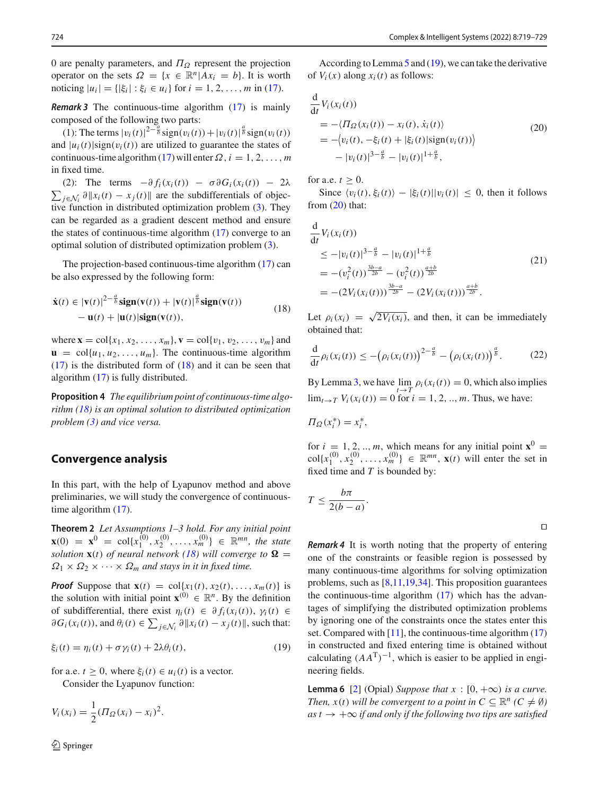0 are penalty parameters, and  $\Pi_{\Omega}$  represent the projection operator on the sets  $\Omega = \{x \in \mathbb{R}^n | Ax_i = b\}$ . It is worth noticing  $|u_i| = \{|\xi_i| : \xi_i \in u_i\}$  for  $i = 1, 2, ..., m$  in [\(17\)](#page-4-4).

*Remark 3* The continuous-time algorithm [\(17\)](#page-4-4) is mainly composed of the following two parts:

(1): The terms  $|v_i(t)|^{2-\frac{a}{b}} \text{sign}(v_i(t)) + |v_i(t)|^{\frac{a}{b}} \text{sign}(v_i(t))$ and  $|u_i(t)|$ sign( $v_i(t)$ ) are utilized to guarantee the states of continuous-time algorithm [\(17\)](#page-4-4) will enter  $\Omega$ ,  $i = 1, 2, \ldots, m$ in fixed time.

(2): The terms  $-\partial f_i(x_i(t)) - \sigma \partial G_i(x_i(t)) - 2\lambda$  $\sum_{j \in \mathcal{N}_i} \partial \|x_i(t) - x_j(t)\|$  are the subdifferentials of objective function in distributed optimization problem [\(3\)](#page-3-0). They can be regarded as a gradient descent method and ensure the states of continuous-time algorithm [\(17\)](#page-4-4) converge to an optimal solution of distributed optimization problem [\(3\)](#page-3-0).

The projection-based continuous-time algorithm [\(17\)](#page-4-4) can be also expressed by the following form:

$$
\dot{\mathbf{x}}(t) \in |\mathbf{v}(t)|^{2-\frac{a}{b}} \mathbf{sign}(\mathbf{v}(t)) + |\mathbf{v}(t)|^{\frac{a}{b}} \mathbf{sign}(\mathbf{v}(t)) \n- \mathbf{u}(t) + |\mathbf{u}(t)| \mathbf{sign}(\mathbf{v}(t)),
$$
\n(18)

where  $\mathbf{x} = \text{col}\{x_1, x_2, \dots, x_m\}, \mathbf{v} = \text{col}\{v_1, v_2, \dots, v_m\}$  and  $\mathbf{u} = \text{col}\{u_1, u_2, \dots, u_m\}$ . The continuous-time algorithm [\(17\)](#page-4-4) is the distributed form of [\(18\)](#page-5-0) and it can be seen that algorithm [\(17\)](#page-4-4) is fully distributed.

<span id="page-5-4"></span>**Proposition 4** *The equilibrium point of continuous-time algorithm [\(18\)](#page-5-0) is an optimal solution to distributed optimization problem [\(3\)](#page-3-0) and vice versa.*

## **Convergence analysis**

In this part, with the help of Lyapunov method and above preliminaries, we will study the convergence of continuoustime algorithm  $(17)$ .

<span id="page-5-3"></span>**Theorem 2** *Let Assumptions 1–3 hold. For any initial point*  $\mathbf{x}(0) = \mathbf{x}^0 = \text{col}\{x_1^{(0)}, x_2^{(0)}, \dots, x_m^{(0)}\} \in \mathbb{R}^{mn}$ , the state *solution*  $\mathbf{x}(t)$  *of neural network* [\(18\)](#page-5-0) will converge to  $\Omega$  =  $\Omega_1 \times \Omega_2 \times \cdots \times \Omega_m$  *and stays in it in fixed time.* 

*Proof* Suppose that  $\mathbf{x}(t) = \text{col}\{x_1(t), x_2(t), \dots, x_m(t)\}$  is the solution with initial point  $\mathbf{x}^{(0)} \in \mathbb{R}^n$ . By the definition of subdifferential, there exist  $\eta_i(t) \in \partial f_i(x_i(t)), \gamma_i(t) \in$  $\partial G_i(x_i(t))$ , and  $\theta_i(t) \in \sum_{j \in \mathcal{N}_i} \partial \|x_i(t) - x_j(t)\|$ , such that:

$$
\xi_i(t) = \eta_i(t) + \sigma \gamma_i(t) + 2\lambda \theta_i(t), \qquad (19)
$$

for a.e.  $t \geq 0$ , where  $\xi_i(t) \in u_i(t)$  is a vector.

Consider the Lyapunov function:

$$
V_i(x_i) = \frac{1}{2} ( \Pi_{\Omega}(x_i) - x_i )^2.
$$

According to Lemma [5](#page-2-5) and [\(19\)](#page-5-1), we can take the derivative of  $V_i(x)$  along  $x_i(t)$  as follows:

<span id="page-5-2"></span>
$$
\frac{d}{dt}V_i(x_i(t))
$$
\n
$$
= -\langle \Pi_{\Omega}(x_i(t)) - x_i(t), \dot{x}_i(t) \rangle
$$
\n
$$
= -\langle v_i(t), -\xi_i(t) + |\xi_i(t)| \text{sign}(v_i(t)) \rangle
$$
\n
$$
- |v_i(t)|^{3-\frac{a}{b}} - |v_i(t)|^{1+\frac{a}{b}},
$$
\n(20)

for a.e.  $t \geq 0$ .

Since  $\langle v_i(t), \xi_i(t) \rangle - |\xi_i(t)| |v_i(t)|$  ≤ 0, then it follows from  $(20)$  that:

$$
\frac{d}{dt} V_i(x_i(t))
$$
\n
$$
\leq -|v_i(t)|^{3-\frac{a}{b}} - |v_i(t)|^{1+\frac{a}{b}}
$$
\n
$$
= -(v_i^2(t))^{\frac{3b-a}{2b}} - (v_i^2(t))^{\frac{a+b}{2b}}
$$
\n
$$
= -(2V_i(x_i(t)))^{\frac{3b-a}{2b}} - (2V_i(x_i(t)))^{\frac{a+b}{2b}}.
$$
\n(21)

<span id="page-5-0"></span>Let  $\rho_i(x_i) = \sqrt{2V_i(x_i)}$ , and then, it can be immediately obtained that:

$$
\frac{\mathrm{d}}{\mathrm{d}t}\rho_i(x_i(t)) \leq -\big(\rho_i(x_i(t))\big)^{2-\frac{a}{b}} - \big(\rho_i(x_i(t))\big)^{\frac{a}{b}}.\tag{22}
$$

By Lemma [3,](#page-2-6) we have  $\lim_{t \to T} \rho_i(x_i(t)) = 0$ , which also implies  $\lim_{t \to T} V_i(x_i(t)) = 0$  for  $i = 1, 2, ..., m$ . Thus, we have:

$$
\Pi_{\Omega}(x_i^*) = x_i^*,
$$

for  $i = 1, 2, ..., m$ , which means for any initial point  $\mathbf{x}^0 =$  $col\{x_1^{(0)}, x_2^{(0)}, \ldots, x_m^{(0)}\} \in \mathbb{R}^{mn}$ ,  $\mathbf{x}(t)$  will enter the set in fixed time and *T* is bounded by:

$$
T \leq \frac{b\pi}{2(b-a)}.
$$

 $\Box$ 

*Remark 4* It is worth noting that the property of entering one of the constraints or feasible region is possessed by many continuous-time algorithms for solving optimization problems, such as [\[8](#page-10-16)[,11](#page-10-21)[,19](#page-10-25)[,34](#page-10-23)]. This proposition guarantees the continuous-time algorithm  $(17)$  which has the advantages of simplifying the distributed optimization problems by ignoring one of the constraints once the states enter this set. Compared with  $[11]$  $[11]$ , the continuous-time algorithm  $(17)$ in constructed and fixed entering time is obtained without calculating  $(AA<sup>T</sup>)<sup>-1</sup>$ , which is easier to be applied in engineering fields.

<span id="page-5-5"></span><span id="page-5-1"></span>**Lemma 6** [\[2](#page-10-26)] (Opial) *Suppose that*  $x : [0, +\infty)$  *is a curve. Then,*  $x(t)$  *will be convergent to a point in*  $C \subseteq \mathbb{R}^n$  ( $C \neq \emptyset$ )  $as t \rightarrow +\infty$  *if and only if the following two tips are satisfied*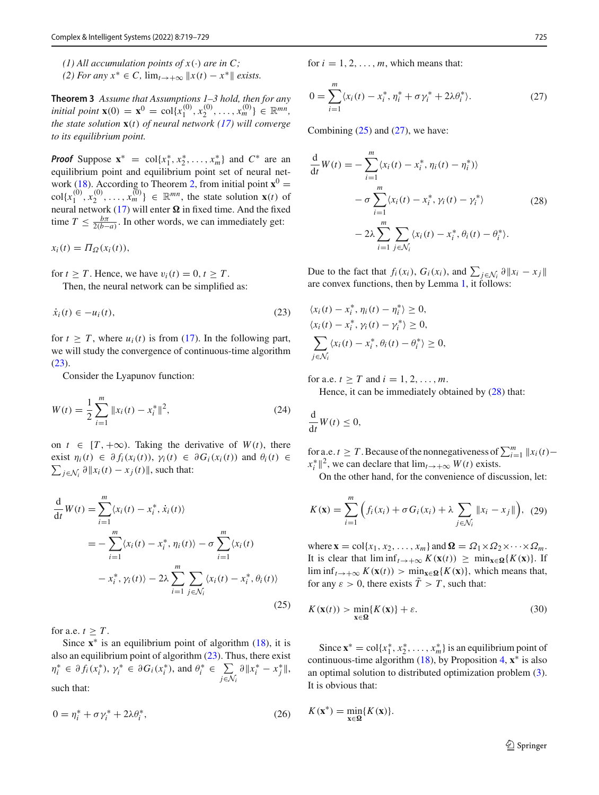- *(1) All accumulation points of*  $x(\cdot)$  *are in C*;
- *(2) For any*  $x^*$  ∈ *C*,  $\lim_{t\to+\infty}$   $||x(t) x^*||$  *exists.*

**Theorem 3** *Assume that Assumptions 1–3 hold, then for any initial point* **x**(0) = **x**<sup>0</sup> = col{ $x_1^{(0)}, x_2^{(0)}, \ldots, x_m^{(0)}$ }  $\in \mathbb{R}^{mn}$ , *the state solution* **x**(*t*) *of neural network [\(17\)](#page-4-4) will converge to its equilibrium point.*

*Proof* Suppose  $x^* = \text{col}\{x_1^*, x_2^*, \ldots, x_m^*\}$  and  $C^*$  are an equilibrium point and equilibrium point set of neural net-work [\(18\)](#page-5-0). According to Theorem [2,](#page-5-3) from initial point  $\mathbf{x}^0$  =  $col\{x_1^{(0)}, x_2^{(0)}, \ldots, x_m^{(0)}\} \in \mathbb{R}^{mn}$ , the state solution **x**(*t*) of neural network  $(17)$  will enter  $\Omega$  in fixed time. And the fixed time  $T \leq \frac{b\pi}{2(b-a)}$ . In other words, we can immediately get:

 $x_i(t) = \Pi_{\Omega}(x_i(t)),$ 

for  $t \geq T$ . Hence, we have  $v_i(t) = 0, t \geq T$ .

Then, the neural network can be simplified as:

$$
\dot{x}_i(t) \in -u_i(t),\tag{23}
$$

for  $t \geq T$ , where  $u_i(t)$  is from [\(17\)](#page-4-4). In the following part, we will study the convergence of continuous-time algorithm [\(23\)](#page-6-0).

Consider the Lyapunov function:

$$
W(t) = \frac{1}{2} \sum_{i=1}^{m} \|x_i(t) - x_i^*\|^2,
$$
\n(24)

on  $t \in [T, +\infty)$ . Taking the derivative of  $W(t)$ , there exist  $\eta_i(t) \in \partial f_i(x_i(t)), \gamma_i(t) \in \partial G_i(x_i(t))$  and  $\theta_i(t) \in$  $\sum_{j \in \mathcal{N}_i} \partial \|x_i(t) - x_j(t)\|$ , such that:

$$
\frac{d}{dt}W(t) = \sum_{i=1}^{m} \langle x_i(t) - x_i^*, \dot{x}_i(t) \rangle
$$
\n
$$
= -\sum_{i=1}^{m} \langle x_i(t) - x_i^*, \eta_i(t) \rangle - \sigma \sum_{i=1}^{m} \langle x_i(t) - x_i^*, \gamma_i(t) \rangle - 2\lambda \sum_{i=1}^{m} \sum_{j \in \mathcal{N}_i} \langle x_i(t) - x_i^*, \theta_i(t) \rangle
$$
\n(25)

for a.e.  $t \geq T$ .

Since  $x^*$  is an equilibrium point of algorithm  $(18)$ , it is also an equilibrium point of algorithm [\(23\)](#page-6-0). Thus, there exist  $\eta_i^* \in \partial f_i(x_i^*), \gamma_i^* \in \partial G_i(x_i^*), \text{ and } \theta_i^* \in \sum_i$ *j*∈*N<sup>i</sup>*  $\partial ||x_i^* - x_j^*||,$ such that:

$$
0 = \eta_i^* + \sigma \gamma_i^* + 2\lambda \theta_i^*,\tag{26}
$$

for  $i = 1, 2, \ldots, m$ , which means that:

<span id="page-6-2"></span>
$$
0 = \sum_{i=1}^{m} \langle x_i(t) - x_i^*, \eta_i^* + \sigma \gamma_i^* + 2\lambda \theta_i^* \rangle.
$$
 (27)

Combining  $(25)$  and  $(27)$ , we have:

<span id="page-6-3"></span>
$$
\frac{d}{dt}W(t) = -\sum_{i=1}^{m} \langle x_i(t) - x_i^*, \eta_i(t) - \eta_i^* \rangle
$$
  

$$
- \sigma \sum_{i=1}^{m} \langle x_i(t) - x_i^*, \gamma_i(t) - \gamma_i^* \rangle
$$
 (28)  

$$
- 2\lambda \sum_{i=1}^{m} \sum_{j \in \mathcal{N}_i} \langle x_i(t) - x_i^*, \theta_i(t) - \theta_i^* \rangle.
$$

<span id="page-6-0"></span>Due to the fact that  $f_i(x_i)$ ,  $G_i(x_i)$ , and  $\sum_{j \in \mathcal{N}_i} \partial \|x_i - x_j\|$ are convex functions, then by Lemma [1,](#page-2-7) it follows:

$$
\langle x_i(t) - x_i^*, \eta_i(t) - \eta_i^* \rangle \ge 0,
$$
  
\n
$$
\langle x_i(t) - x_i^*, \gamma_i(t) - \gamma_i^* \rangle \ge 0,
$$
  
\n
$$
\sum_{j \in \mathcal{N}_i} \langle x_i(t) - x_i^*, \theta_i(t) - \theta_i^* \rangle \ge 0,
$$

for a.e.  $t > T$  and  $i = 1, 2, ..., m$ .

Hence, it can be immediately obtained by  $(28)$  that:

$$
\frac{\mathrm{d}}{\mathrm{d}t}W(t)\leq 0,
$$

<span id="page-6-1"></span>for a.e. *t* ≥ *T*. Because of the nonnegativeness of  $\sum_{i=1}^{m} ||x_i(t)$  $x_i^*$   $\|^2$ , we can declare that  $\lim_{t\to+\infty} W(t)$  exists.

On the other hand, for the convenience of discussion, let:

$$
K(\mathbf{x}) = \sum_{i=1}^{m} \left( f_i(x_i) + \sigma G_i(x_i) + \lambda \sum_{j \in \mathcal{N}_i} ||x_i - x_j|| \right), \tag{29}
$$

where  $\mathbf{x} = \text{col}\{x_1, x_2, \dots, x_m\}$  and  $\mathbf{\Omega} = \Omega_1 \times \Omega_2 \times \dots \times \Omega_m$ . It is clear that  $\liminf_{t\to+\infty} K(\mathbf{x}(t)) \geq \min_{\mathbf{x}\in\Omega} \{K(\mathbf{x})\}.$  If lim inf<sub>*t*→+∞</sub>  $K(\mathbf{x}(t)) > \min_{\mathbf{x} \in \mathbf{\Omega}} \{K(\mathbf{x})\}$ , which means that, for any  $\varepsilon > 0$ , there exists  $T > T$ , such that:

<span id="page-6-4"></span>
$$
K(\mathbf{x}(t)) > \min_{\mathbf{x} \in \Omega} \{ K(\mathbf{x}) \} + \varepsilon. \tag{30}
$$

Since  $\mathbf{x}^* = \text{col}\{x_1^*, x_2^*, \dots, x_m^*\}$  is an equilibrium point of continuous-time algorithm [\(18\)](#page-5-0), by Proposition [4,](#page-5-4) **x**∗ is also an optimal solution to distributed optimization problem [\(3\)](#page-3-0). It is obvious that:

$$
K(\mathbf{x}^*) = \min_{\mathbf{x} \in \Omega} \{ K(\mathbf{x}) \}.
$$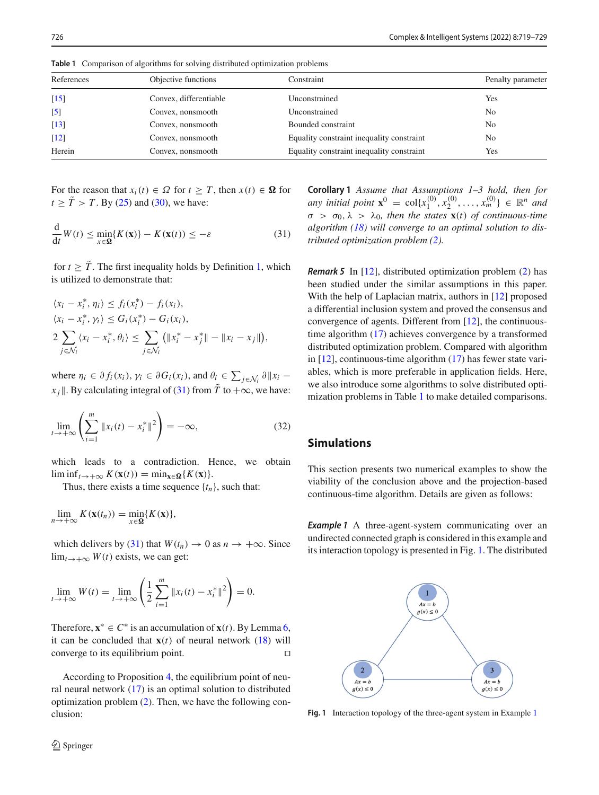| References       | Objective functions    | Constraint                                | Penalty parameter |
|------------------|------------------------|-------------------------------------------|-------------------|
| $[15]$           | Convex, differentiable | Unconstrained                             | Yes               |
| $\left[5\right]$ | Convex, nonsmooth      | Unconstrained                             | N <sub>0</sub>    |
| $[13]$           | Convex, nonsmooth      | Bounded constraint                        | N <sub>0</sub>    |
| $[12]$           | Convex, nonsmooth      | Equality constraint inequality constraint | N <sub>0</sub>    |
| Herein           | Convex, nonsmooth      | Equality constraint inequality constraint | Yes               |

<span id="page-7-1"></span>**Table 1** Comparison of algorithms for solving distributed optimization problems

For the reason that  $x_i(t) \in \Omega$  for  $t \geq T$ , then  $x(t) \in \Omega$  for  $t \geq \tilde{T} > T$ . By [\(25\)](#page-6-1) and [\(30\)](#page-6-4), we have:

$$
\frac{\mathrm{d}}{\mathrm{d}t}W(t) \le \min_{x \in \Omega} \{ K(\mathbf{x}) \} - K(\mathbf{x}(t)) \le -\varepsilon \tag{31}
$$

for  $t \geq \tilde{T}$ . The first inequality holds by Definition [1,](#page-2-4) which is utilized to demonstrate that:

$$
\langle x_i - x_i^*, \eta_i \rangle \le f_i(x_i^*) - f_i(x_i),
$$
  
\n
$$
\langle x_i - x_i^*, \gamma_i \rangle \le G_i(x_i^*) - G_i(x_i),
$$
  
\n
$$
2 \sum_{j \in \mathcal{N}_i} \langle x_i - x_i^*, \theta_i \rangle \le \sum_{j \in \mathcal{N}_i} \left( \|x_i^* - x_j^*\| - \|x_i - x_j\|\right),
$$

where  $\eta_i \in \partial f_i(x_i)$ ,  $\gamma_i \in \partial G_i(x_i)$ , and  $\theta_i \in \sum_{j \in \mathcal{N}_i} \partial \|x_i$ *x j*  $\parallel$ . By calculating integral of [\(31\)](#page-7-0) from  $\tilde{T}$  to  $+\infty$ , we have:

$$
\lim_{t \to +\infty} \left( \sum_{i=1}^{m} \|x_i(t) - x_i^*\|^2 \right) = -\infty,
$$
\n(32)

which leads to a contradiction. Hence, we obtain  $\liminf_{t\to+\infty} K(\mathbf{x}(t)) = \min_{\mathbf{x}\in\Omega} \{K(\mathbf{x})\}.$ 

Thus, there exists a time sequence  $\{t_n\}$ , such that:

$$
\lim_{n\to+\infty} K(\mathbf{x}(t_n)) = \min_{x\in\Omega} \{K(\mathbf{x})\},\
$$

which delivers by [\(31\)](#page-7-0) that  $W(t_n) \to 0$  as  $n \to +\infty$ . Since  $\lim_{t\to+\infty} W(t)$  exists, we can get:

$$
\lim_{t \to +\infty} W(t) = \lim_{t \to +\infty} \left( \frac{1}{2} \sum_{i=1}^{m} \|x_i(t) - x_i^*\|^2 \right) = 0.
$$

Therefore,  $x^* \in C^*$  is an accumulation of  $x(t)$ . By Lemma [6,](#page-5-5) it can be concluded that  $\mathbf{x}(t)$  of neural network  $(18)$  will converge to its equilibrium point.

According to Proposition [4,](#page-5-4) the equilibrium point of neural neural network [\(17\)](#page-4-4) is an optimal solution to distributed optimization problem [\(2\)](#page-2-1). Then, we have the following conclusion:

<span id="page-7-0"></span>**Corollary 1** *Assume that Assumptions 1–3 hold, then for any initial point*  $\mathbf{x}^0 = \text{col}\lbrace x_1^{(0)}, x_2^{(0)}, \dots, x_m^{(0)} \rbrace \in \mathbb{R}^n$  *and*  $\sigma > \sigma_0, \lambda > \lambda_0$ , then the states  $\mathbf{x}(t)$  of continuous-time *algorithm [\(18\)](#page-5-0) will converge to an optimal solution to distributed optimization problem [\(2\)](#page-2-1).*

*Remark 5* In [\[12](#page-10-20)], distributed optimization problem [\(2\)](#page-2-1) has been studied under the similar assumptions in this paper. With the help of Laplacian matrix, authors in [\[12\]](#page-10-20) proposed a differential inclusion system and proved the consensus and convergence of agents. Different from [\[12](#page-10-20)], the continuoustime algorithm [\(17\)](#page-4-4) achieves convergence by a transformed distributed optimization problem. Compared with algorithm in [\[12\]](#page-10-20), continuous-time algorithm [\(17\)](#page-4-4) has fewer state variables, which is more preferable in application fields. Here, we also introduce some algorithms to solve distributed optimization problems in Table [1](#page-7-1) to make detailed comparisons.

## **Simulations**

<span id="page-7-3"></span>This section presents two numerical examples to show the viability of the conclusion above and the projection-based continuous-time algorithm. Details are given as follows:

**Example 1** A three-agent-system communicating over an undirected connected graph is considered in this example and its interaction topology is presented in Fig. [1.](#page-7-2) The distributed



<span id="page-7-2"></span>**Fig. 1** Interaction topology of the three-agent system in Example [1](#page-7-3)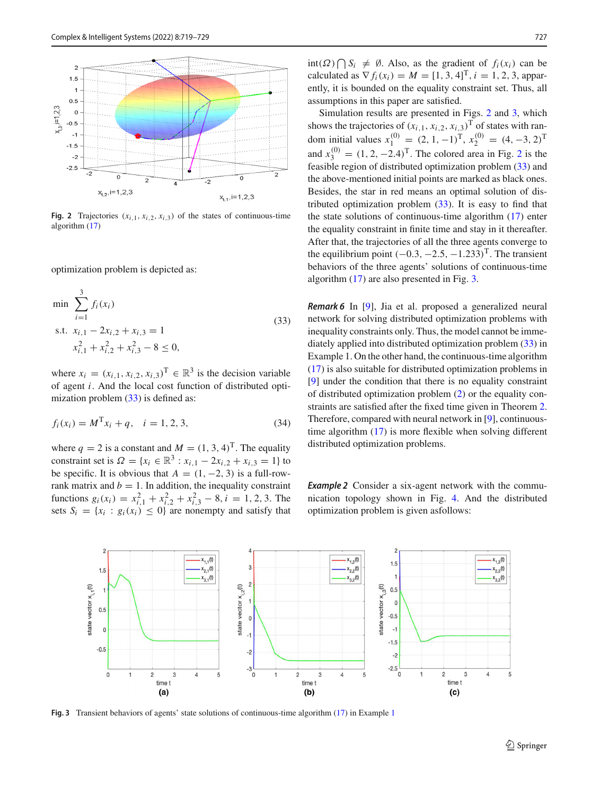

<span id="page-8-1"></span>**Fig. 2** Trajectories  $(x_{i,1}, x_{i,2}, x_{i,3})$  of the states of continuous-time algorithm [\(17\)](#page-4-4)

optimization problem is depicted as:

$$
\min \sum_{i=1}^{3} f_i(x_i)
$$
  
s.t.  $x_{i,1} - 2x_{i,2} + x_{i,3} = 1$   
 $x_{i,1}^2 + x_{i,2}^2 + x_{i,3}^2 - 8 \le 0,$  (33)

where  $x_i = (x_{i,1}, x_{i,2}, x_{i,3})^\text{T} \in \mathbb{R}^3$  is the decision variable of agent *i*. And the local cost function of distributed opti-mization problem [\(33\)](#page-8-0) is defined as:

$$
f_i(x_i) = M^{\mathrm{T}} x_i + q, \quad i = 1, 2, 3,
$$
\n(34)

where  $q = 2$  is a constant and  $M = (1, 3, 4)^T$ . The equality constraint set is  $\Omega = \{x_i \in \mathbb{R}^3 : x_{i,1} - 2x_{i,2} + x_{i,3} = 1\}$  to be specific. It is obvious that  $A = (1, -2, 3)$  is a full-rowrank matrix and  $b = 1$ . In addition, the inequality constraint functions  $g_i(x_i) = x_{i,1}^2 + x_{i,2}^2 + x_{i,3}^2 - 8$ ,  $i = 1, 2, 3$ . The sets  $S_i = \{x_i : g_i(x_i) \leq 0\}$  are nonempty and satisfy that

int(Ω)  $\bigcap S_i \neq \emptyset$ . Also, as the gradient of  $f_i(x_i)$  can be calculated as  $\nabla f_i(x_i) = M = [1, 3, 4]^T$ ,  $i = 1, 2, 3$ , apparently, it is bounded on the equality constraint set. Thus, all assumptions in this paper are satisfied.

Simulation results are presented in Figs. [2](#page-8-1) and [3,](#page-8-2) which shows the trajectories of  $(x_{i,1}, x_{i,2}, x_{i,3})^T$  of states with random initial values  $x_1^{(0)} = (2, 1, -1)^T$ ,  $x_2^{(0)} = (4, -3, 2)^T$ and  $x_3^{(0)} = (1, 2, -2.4)^T$  $x_3^{(0)} = (1, 2, -2.4)^T$  $x_3^{(0)} = (1, 2, -2.4)^T$ . The colored area in Fig. 2 is the feasible region of distributed optimization problem [\(33\)](#page-8-0) and the above-mentioned initial points are marked as black ones. Besides, the star in red means an optimal solution of distributed optimization problem [\(33\)](#page-8-0). It is easy to find that the state solutions of continuous-time algorithm [\(17\)](#page-4-4) enter the equality constraint in finite time and stay in it thereafter. After that, the trajectories of all the three agents converge to the equilibrium point  $(-0.3, -2.5, -1.233)^T$ . The transient behaviors of the three agents' solutions of continuous-time algorithm [\(17\)](#page-4-4) are also presented in Fig. [3.](#page-8-2)

<span id="page-8-0"></span>*Remark 6* In [\[9\]](#page-10-29), Jia et al. proposed a generalized neural network for solving distributed optimization problems with inequality constraints only. Thus, the model cannot be immediately applied into distributed optimization problem [\(33\)](#page-8-0) in Example 1. On the other hand, the continuous-time algorithm [\(17\)](#page-4-4) is also suitable for distributed optimization problems in [\[9](#page-10-29)] under the condition that there is no equality constraint of distributed optimization problem [\(2\)](#page-2-1) or the equality constraints are satisfied after the fixed time given in Theorem [2.](#page-5-3) Therefore, compared with neural network in [\[9\]](#page-10-29), continuoustime algorithm [\(17\)](#page-4-4) is more flexible when solving different distributed optimization problems.

<span id="page-8-4"></span><span id="page-8-3"></span>**Example 2** Consider a six-agent network with the communication topology shown in Fig. [4.](#page-9-0) And the distributed optimization problem is given asfollows:



<span id="page-8-2"></span>**Fig. 3** Transient behaviors of agents' state solutions of continuous-time algorithm [\(17\)](#page-4-4) in Example [1](#page-7-3)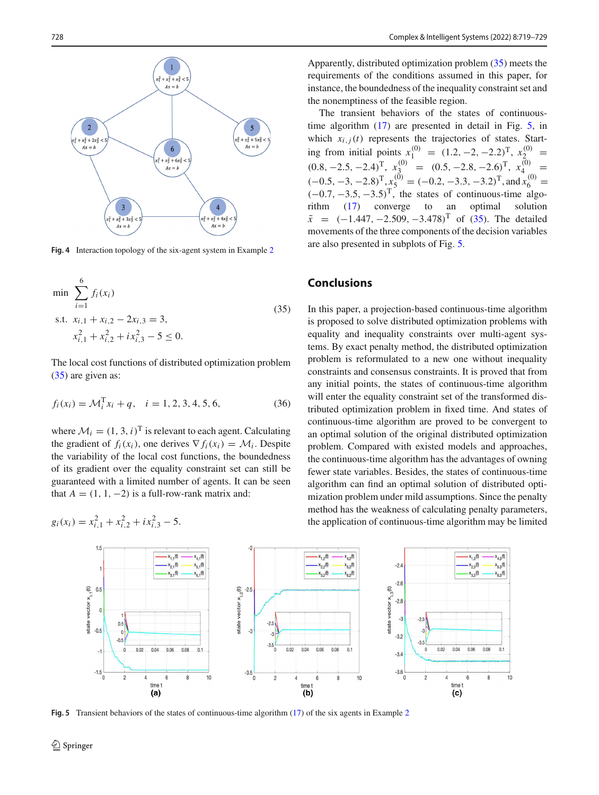

<span id="page-9-0"></span>**Fig. 4** Interaction topology of the six-agent system in Example [2](#page-8-3)

$$
\min \sum_{i=1}^{6} f_i(x_i)
$$
  
s.t.  $x_{i,1} + x_{i,2} - 2x_{i,3} = 3$ ,  
 $x_{i,1}^2 + x_{i,2}^2 + ix_{i,3}^2 - 5 \le 0$ . (35)

The local cost functions of distributed optimization problem [\(35\)](#page-8-4) are given as:

$$
f_i(x_i) = \mathcal{M}_i^{\mathrm{T}} x_i + q, \quad i = 1, 2, 3, 4, 5, 6,
$$
 (36)

where  $M_i = (1, 3, i)^T$  is relevant to each agent. Calculating the gradient of  $f_i(x_i)$ , one derives  $\nabla f_i(x_i) = \mathcal{M}_i$ . Despite the variability of the local cost functions, the boundedness of its gradient over the equality constraint set can still be guaranteed with a limited number of agents. It can be seen that  $A = (1, 1, -2)$  is a full-row-rank matrix and:

$$
g_i(x_i) = x_{i,1}^2 + x_{i,2}^2 + ix_{i,3}^2 - 5.
$$

Apparently, distributed optimization problem [\(35\)](#page-8-4) meets the requirements of the conditions assumed in this paper, for instance, the boundedness of the inequality constraint set and the nonemptiness of the feasible region.

The transient behaviors of the states of continuoustime algorithm [\(17\)](#page-4-4) are presented in detail in Fig. [5,](#page-9-1) in which  $x_{i,j}(t)$  represents the trajectories of states. Starting from initial points  $x_1^{(0)} = (1.2, -2, -2.2)^T$ ,  $x_2^{(0)} =$  $(0.8, -2.5, -2.4)^{\text{T}}$ ,  $x_3^{(0)} = (0.5, -2.8, -2.6)^{\text{T}}$ ,  $x_4^{(0)} =$  $(-0.5, -3, -2.8)^{\text{T}}, x_5^{(0)} = (-0.2, -3.3, -3.2)^{\text{T}}, \text{and } x_6^{(0)} = (-0.7, -3.5, -3.5)^{\text{T}}$ , the states of continuous-time algorithm [\(17\)](#page-4-4) converge to an optimal solution  $\tilde{x}$  = (−1.447, −2.509, −3.478)<sup>T</sup> of [\(35\)](#page-8-4). The detailed movements of the three components of the decision variables are also presented in subplots of Fig. [5.](#page-9-1)

## **Conclusions**

In this paper, a projection-based continuous-time algorithm is proposed to solve distributed optimization problems with equality and inequality constraints over multi-agent systems. By exact penalty method, the distributed optimization problem is reformulated to a new one without inequality constraints and consensus constraints. It is proved that from any initial points, the states of continuous-time algorithm will enter the equality constraint set of the transformed distributed optimization problem in fixed time. And states of continuous-time algorithm are proved to be convergent to an optimal solution of the original distributed optimization problem. Compared with existed models and approaches, the continuous-time algorithm has the advantages of owning fewer state variables. Besides, the states of continuous-time algorithm can find an optimal solution of distributed optimization problem under mild assumptions. Since the penalty method has the weakness of calculating penalty parameters, the application of continuous-time algorithm may be limited



<span id="page-9-1"></span>**Fig. 5** Transient behaviors of the states of continuous-time algorithm [\(17\)](#page-4-4) of the six agents in Example [2](#page-8-3)